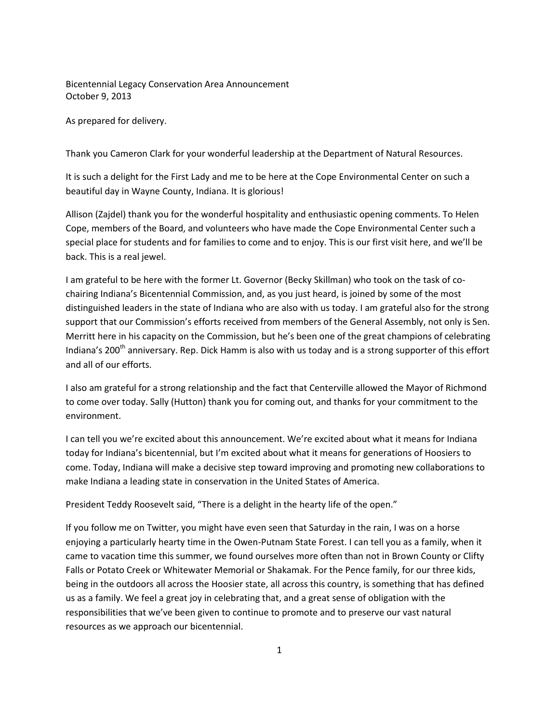Bicentennial Legacy Conservation Area Announcement October 9, 2013

As prepared for delivery.

Thank you Cameron Clark for your wonderful leadership at the Department of Natural Resources.

It is such a delight for the First Lady and me to be here at the Cope Environmental Center on such a beautiful day in Wayne County, Indiana. It is glorious!

Allison (Zajdel) thank you for the wonderful hospitality and enthusiastic opening comments. To Helen Cope, members of the Board, and volunteers who have made the Cope Environmental Center such a special place for students and for families to come and to enjoy. This is our first visit here, and we'll be back. This is a real jewel.

I am grateful to be here with the former Lt. Governor (Becky Skillman) who took on the task of cochairing Indiana's Bicentennial Commission, and, as you just heard, is joined by some of the most distinguished leaders in the state of Indiana who are also with us today. I am grateful also for the strong support that our Commission's efforts received from members of the General Assembly, not only is Sen. Merritt here in his capacity on the Commission, but he's been one of the great champions of celebrating Indiana's 200<sup>th</sup> anniversary. Rep. Dick Hamm is also with us today and is a strong supporter of this effort and all of our efforts.

I also am grateful for a strong relationship and the fact that Centerville allowed the Mayor of Richmond to come over today. Sally (Hutton) thank you for coming out, and thanks for your commitment to the environment.

I can tell you we're excited about this announcement. We're excited about what it means for Indiana today for Indiana's bicentennial, but I'm excited about what it means for generations of Hoosiers to come. Today, Indiana will make a decisive step toward improving and promoting new collaborations to make Indiana a leading state in conservation in the United States of America.

President Teddy Roosevelt said, "There is a delight in the hearty life of the open."

If you follow me on Twitter, you might have even seen that Saturday in the rain, I was on a horse enjoying a particularly hearty time in the Owen-Putnam State Forest. I can tell you as a family, when it came to vacation time this summer, we found ourselves more often than not in Brown County or Clifty Falls or Potato Creek or Whitewater Memorial or Shakamak. For the Pence family, for our three kids, being in the outdoors all across the Hoosier state, all across this country, is something that has defined us as a family. We feel a great joy in celebrating that, and a great sense of obligation with the responsibilities that we've been given to continue to promote and to preserve our vast natural resources as we approach our bicentennial.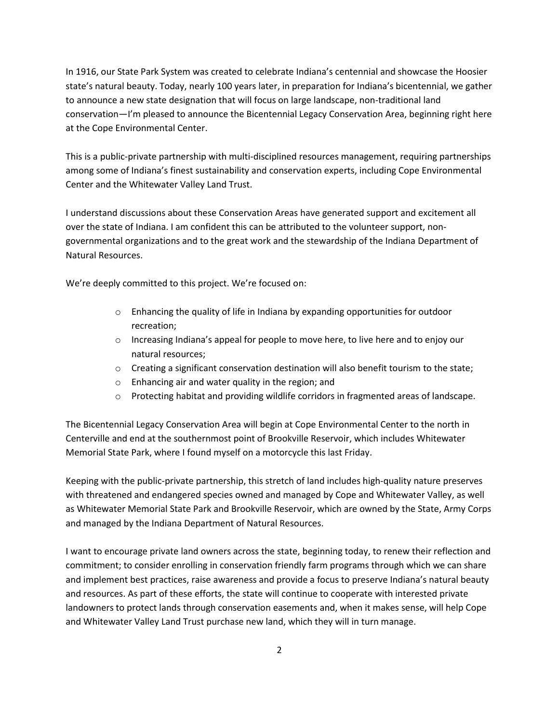In 1916, our State Park System was created to celebrate Indiana's centennial and showcase the Hoosier state's natural beauty. Today, nearly 100 years later, in preparation for Indiana's bicentennial, we gather to announce a new state designation that will focus on large landscape, non-traditional land conservation—I'm pleased to announce the Bicentennial Legacy Conservation Area, beginning right here at the Cope Environmental Center.

This is a public-private partnership with multi-disciplined resources management, requiring partnerships among some of Indiana's finest sustainability and conservation experts, including Cope Environmental Center and the Whitewater Valley Land Trust.

I understand discussions about these Conservation Areas have generated support and excitement all over the state of Indiana. I am confident this can be attributed to the volunteer support, nongovernmental organizations and to the great work and the stewardship of the Indiana Department of Natural Resources.

We're deeply committed to this project. We're focused on:

- o Enhancing the quality of life in Indiana by expanding opportunities for outdoor recreation;
- $\circ$  Increasing Indiana's appeal for people to move here, to live here and to enjoy our natural resources;
- $\circ$  Creating a significant conservation destination will also benefit tourism to the state;
- o Enhancing air and water quality in the region; and
- o Protecting habitat and providing wildlife corridors in fragmented areas of landscape.

The Bicentennial Legacy Conservation Area will begin at Cope Environmental Center to the north in Centerville and end at the southernmost point of Brookville Reservoir, which includes Whitewater Memorial State Park, where I found myself on a motorcycle this last Friday.

Keeping with the public-private partnership, this stretch of land includes high-quality nature preserves with threatened and endangered species owned and managed by Cope and Whitewater Valley, as well as Whitewater Memorial State Park and Brookville Reservoir, which are owned by the State, Army Corps and managed by the Indiana Department of Natural Resources.

I want to encourage private land owners across the state, beginning today, to renew their reflection and commitment; to consider enrolling in conservation friendly farm programs through which we can share and implement best practices, raise awareness and provide a focus to preserve Indiana's natural beauty and resources. As part of these efforts, the state will continue to cooperate with interested private landowners to protect lands through conservation easements and, when it makes sense, will help Cope and Whitewater Valley Land Trust purchase new land, which they will in turn manage.